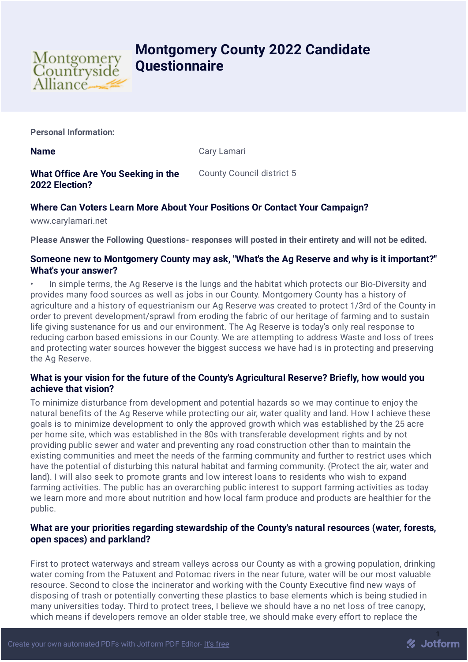

# **Montgomery County 2022 Candidate Questionnaire**

**Personal Information:**

**Name** Cary Lamari

**What Office Are You Seeking in the 2022 Election?** County Council district 5

# **Where Can Voters Learn More About Your Positions Or Contact Your Campaign?**

www.carylamari.net

**Please Answer the Following Questions- responses will posted in their entirety and will not be edited.**

#### **Someone new to Montgomery County may ask, "What's the Ag Reserve and why is it important?" What's your answer?**

• In simple terms, the Ag Reserve is the lungs and the habitat which protects our Bio-Diversity and provides many food sources as well as jobs in our County. Montgomery County has a history of agriculture and a history of equestrianism our Ag Reserve was created to protect 1/3rd of the County in order to prevent development/sprawl from eroding the fabric of our heritage of farming and to sustain life giving sustenance for us and our environment. The Ag Reserve is today's only real response to reducing carbon based emissions in our County. We are attempting to address Waste and loss of trees and protecting water sources however the biggest success we have had is in protecting and preserving the Ag Reserve.

## **What is your vision for the future of the County's Agricultural Reserve? Briefly, how would you achieve that vision?**

To minimize disturbance from development and potential hazards so we may continue to enjoy the natural benefits of the Ag Reserve while protecting our air, water quality and land. How I achieve these goals is to minimize development to only the approved growth which was established by the 25 acre per home site, which was established in the 80s with transferable development rights and by not providing public sewer and water and preventing any road construction other than to maintain the existing communities and meet the needs of the farming community and further to restrict uses which have the potential of disturbing this natural habitat and farming community. (Protect the air, water and land). I will also seek to promote grants and low interest loans to residents who wish to expand farming activities. The public has an overarching public interest to support farming activities as today we learn more and more about nutrition and how local farm produce and products are healthier for the public.

## **What are your priorities regarding stewardship of the County's natural resources (water, forests, open spaces) and parkland?**

First to protect waterways and stream valleys across our County as with a growing population, drinking water coming from the Patuxent and Potomac rivers in the near future, water will be our most valuable resource. Second to close the incinerator and working with the County Executive find new ways of disposing of trash or potentially converting these plastics to base elements which is being studied in many universities today. Third to protect trees, I believe we should have a no net loss of tree canopy, which means if developers remove an older stable tree, we should make every effort to replace the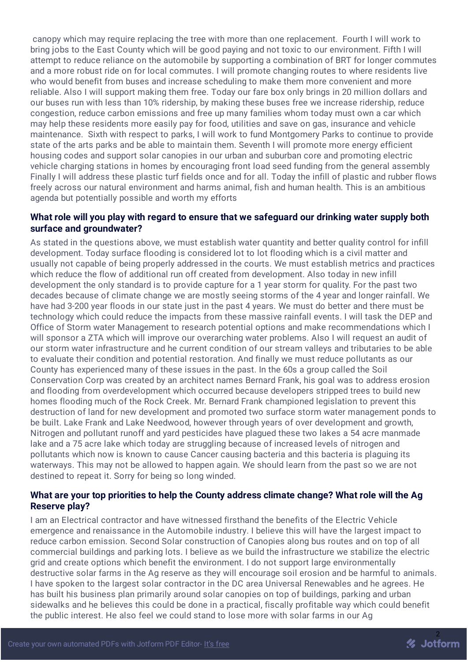canopy which may require replacing the tree with more than one replacement. Fourth I will work to bring jobs to the East County which will be good paying and not toxic to our environment. Fifth I will attempt to reduce reliance on the automobile by supporting a combination of BRT for longer commutes and a more robust ride on for local commutes. I will promote changing routes to where residents live who would benefit from buses and increase scheduling to make them more convenient and more reliable. Also I will support making them free. Today our fare box only brings in 20 million dollars and our buses run with less than 10% ridership, by making these buses free we increase ridership, reduce congestion, reduce carbon emissions and free up many families whom today must own a car which may help these residents more easily pay for food, utilities and save on gas, insurance and vehicle maintenance. Sixth with respect to parks, I will work to fund Montgomery Parks to continue to provide state of the arts parks and be able to maintain them. Seventh I will promote more energy efficient housing codes and support solar canopies in our urban and suburban core and promoting electric vehicle charging stations in homes by encouraging front load seed funding from the general assembly Finally I will address these plastic turf fields once and for all. Today the infill of plastic and rubber flows freely across our natural environment and harms animal, fish and human health. This is an ambitious agenda but potentially possible and worth my efforts

#### **What role will you play with regard to ensure that we safeguard our drinking water supply both surface and groundwater?**

As stated in the questions above, we must establish water quantity and better quality control for infill development. Today surface flooding is considered lot to lot flooding which is a civil matter and usually not capable of being properly addressed in the courts. We must establish metrics and practices which reduce the flow of additional run off created from development. Also today in new infill development the only standard is to provide capture for a 1 year storm for quality. For the past two decades because of climate change we are mostly seeing storms of the 4 year and longer rainfall. We have had 3-200 year floods in our state just in the past 4 years. We must do better and there must be technology which could reduce the impacts from these massive rainfall events. I will task the DEP and Office of Storm water Management to research potential options and make recommendations which I will sponsor a ZTA which will improve our overarching water problems. Also I will request an audit of our storm water infrastructure and he current condition of our stream valleys and tributaries to be able to evaluate their condition and potential restoration. And finally we must reduce pollutants as our County has experienced many of these issues in the past. In the 60s a group called the Soil Conservation Corp was created by an architect names Bernard Frank, his goal was to address erosion and flooding from overdevelopment which occurred because developers stripped trees to build new homes flooding much of the Rock Creek. Mr. Bernard Frank championed legislation to prevent this destruction of land for new development and promoted two surface storm water management ponds to be built. Lake Frank and Lake Needwood, however through years of over development and growth, Nitrogen and pollutant runoff and yard pesticides have plagued these two lakes a 54 acre manmade lake and a 75 acre lake which today are struggling because of increased levels of nitrogen and pollutants which now is known to cause Cancer causing bacteria and this bacteria is plaguing its waterways. This may not be allowed to happen again. We should learn from the past so we are not destined to repeat it. Sorry for being so long winded.

#### **What are your top priorities to help the County address climate change? What role will the Ag Reserve play?**

I am an Electrical contractor and have witnessed firsthand the benefits of the Electric Vehicle emergence and renaissance in the Automobile industry. I believe this will have the largest impact to reduce carbon emission. Second Solar construction of Canopies along bus routes and on top of all commercial buildings and parking lots. I believe as we build the infrastructure we stabilize the electric grid and create options which benefit the environment. I do not support large environmentally destructive solar farms in the Ag reserve as they will encourage soil erosion and be harmful to animals. I have spoken to the largest solar contractor in the DC area Universal Renewables and he agrees. He has built his business plan primarily around solar canopies on top of buildings, parking and urban sidewalks and he believes this could be done in a practical, fiscally profitable way which could benefit the public interest. He also feel we could stand to lose more with solar farms in our Ag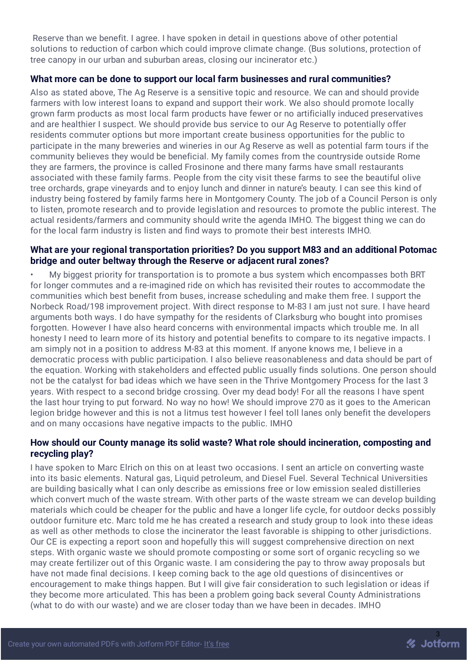Reserve than we benefit. I agree. I have spoken in detail in questions above of other potential solutions to reduction of carbon which could improve climate change. (Bus solutions, protection of tree canopy in our urban and suburban areas, closing our incinerator etc.)

#### **What more can be done to support our local farm businesses and rural communities?**

Also as stated above, The Ag Reserve is a sensitive topic and resource. We can and should provide farmers with low interest loans to expand and support their work. We also should promote locally grown farm products as most local farm products have fewer or no artificially induced preservatives and are healthier I suspect. We should provide bus service to our Ag Reserve to potentially offer residents commuter options but more important create business opportunities for the public to participate in the many breweries and wineries in our Ag Reserve as well as potential farm tours if the community believes they would be beneficial. My family comes from the countryside outside Rome they are farmers, the province is called Frosinone and there many farms have small restaurants associated with these family farms. People from the city visit these farms to see the beautiful olive tree orchards, grape vineyards and to enjoy lunch and dinner in nature's beauty. I can see this kind of industry being fostered by family farms here in Montgomery County. The job of a Council Person is only to listen, promote research and to provide legislation and resources to promote the public interest. The actual residents/farmers and community should write the agenda IMHO. The biggest thing we can do for the local farm industry is listen and find ways to promote their best interests IMHO.

#### **What are your regional transportation priorities? Do you support M83 and an additional Potomac bridge and outer beltway through the Reserve or adjacent rural zones?**

• My biggest priority for transportation is to promote a bus system which encompasses both BRT for longer commutes and a re-imagined ride on which has revisited their routes to accommodate the communities which best benefit from buses, increase scheduling and make them free. I support the Norbeck Road/198 improvement project. With direct response to M-83 I am just not sure. I have heard arguments both ways. I do have sympathy for the residents of Clarksburg who bought into promises forgotten. However I have also heard concerns with environmental impacts which trouble me. In all honesty I need to learn more of its history and potential benefits to compare to its negative impacts. I am simply not in a position to address M-83 at this moment. If anyone knows me, I believe in a democratic process with public participation. I also believe reasonableness and data should be part of the equation. Working with stakeholders and effected public usually finds solutions. One person should not be the catalyst for bad ideas which we have seen in the Thrive Montgomery Process for the last 3 years. With respect to a second bridge crossing. Over my dead body! For all the reasons I have spent the last hour trying to put forward. No way no how! We should improve 270 as it goes to the American legion bridge however and this is not a litmus test however I feel toll lanes only benefit the developers and on many occasions have negative impacts to the public. IMHO

#### **How should our County manage its solid waste? What role should incineration, composting and recycling play?**

I have spoken to Marc Elrich on this on at least two occasions. I sent an article on converting waste into its basic elements. Natural gas, Liquid petroleum, and Diesel Fuel. Several Technical Universities are building basically what I can only describe as emissions free or low emission sealed distilleries which convert much of the waste stream. With other parts of the waste stream we can develop building materials which could be cheaper for the public and have a longer life cycle, for outdoor decks possibly outdoor furniture etc. Marc told me he has created a research and study group to look into these ideas as well as other methods to close the incinerator the least favorable is shipping to other jurisdictions. Our CE is expecting a report soon and hopefully this will suggest comprehensive direction on next steps. With organic waste we should promote composting or some sort of organic recycling so we may create fertilizer out of this Organic waste. I am considering the pay to throw away proposals but have not made final decisions. I keep coming back to the age old questions of disincentives or encouragement to make things happen. But I will give fair consideration to such legislation or ideas if they become more articulated. This has been a problem going back several County Administrations (what to do with our waste) and we are closer today than we have been in decades. IMHO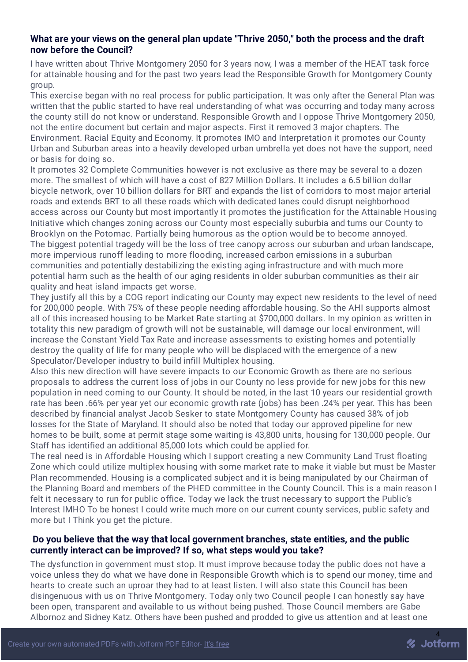#### **What are your views on the general plan update "Thrive 2050," both the process and the draft now before the Council?**

I have written about Thrive Montgomery 2050 for 3 years now, I was a member of the HEAT task force for attainable housing and for the past two years lead the Responsible Growth for Montgomery County group.

This exercise began with no real process for public participation. It was only after the General Plan was written that the public started to have real understanding of what was occurring and today many across the county still do not know or understand. Responsible Growth and I oppose Thrive Montgomery 2050, not the entire document but certain and major aspects. First it removed 3 major chapters. The Environment. Racial Equity and Economy. It promotes IMO and Interpretation it promotes our County Urban and Suburban areas into a heavily developed urban umbrella yet does not have the support, need or basis for doing so.

It promotes 32 Complete Communities however is not exclusive as there may be several to a dozen more. The smallest of which will have a cost of 827 Million Dollars. It includes a 6.5 billion dollar bicycle network, over 10 billion dollars for BRT and expands the list of corridors to most major arterial roads and extends BRT to all these roads which with dedicated lanes could disrupt neighborhood access across our County but most importantly it promotes the justification for the Attainable Housing Initiative which changes zoning across our County most especially suburbia and turns our County to Brooklyn on the Potomac. Partially being humorous as the option would be to become annoyed. The biggest potential tragedy will be the loss of tree canopy across our suburban and urban landscape, more impervious runoff leading to more flooding, increased carbon emissions in a suburban communities and potentially destabilizing the existing aging infrastructure and with much more potential harm such as the health of our aging residents in older suburban communities as their air quality and heat island impacts get worse.

They justify all this by a COG report indicating our County may expect new residents to the level of need for 200,000 people. With 75% of these people needing affordable housing. So the AHI supports almost all of this increased housing to be Market Rate starting at \$700,000 dollars. In my opinion as written in totality this new paradigm of growth will not be sustainable, will damage our local environment, will increase the Constant Yield Tax Rate and increase assessments to existing homes and potentially destroy the quality of life for many people who will be displaced with the emergence of a new Speculator/Developer industry to build infill Multiplex housing.

Also this new direction will have severe impacts to our Economic Growth as there are no serious proposals to address the current loss of jobs in our County no less provide for new jobs for this new population in need coming to our County. It should be noted, in the last 10 years our residential growth rate has been .66% per year yet our economic growth rate (jobs) has been .24% per year. This has been described by financial analyst Jacob Sesker to state Montgomery County has caused 38% of job losses for the State of Maryland. It should also be noted that today our approved pipeline for new homes to be built, some at permit stage some waiting is 43,800 units, housing for 130,000 people. Our Staff has identified an additional 85,000 lots which could be applied for.

The real need is in Affordable Housing which I support creating a new Community Land Trust floating Zone which could utilize multiplex housing with some market rate to make it viable but must be Master Plan recommended. Housing is a complicated subject and it is being manipulated by our Chairman of the Planning Board and members of the PHED committee in the County Council. This is a main reason I felt it necessary to run for public office. Today we lack the trust necessary to support the Public's Interest IMHO To be honest I could write much more on our current county services, public safety and more but I Think you get the picture.

#### **Do you believe that the way that local government branches, state entities, and the public currently interact can be improved? If so, what steps would you take?**

The dysfunction in government must stop. It must improve because today the public does not have a voice unless they do what we have done in Responsible Growth which is to spend our money, time and hearts to create such an uproar they had to at least listen. I will also state this Council has been disingenuous with us on Thrive Montgomery. Today only two Council people I can honestly say have been open, transparent and available to us without being pushed. Those Council members are Gabe Albornoz and Sidney Katz. Others have been pushed and prodded to give us attention and at least one